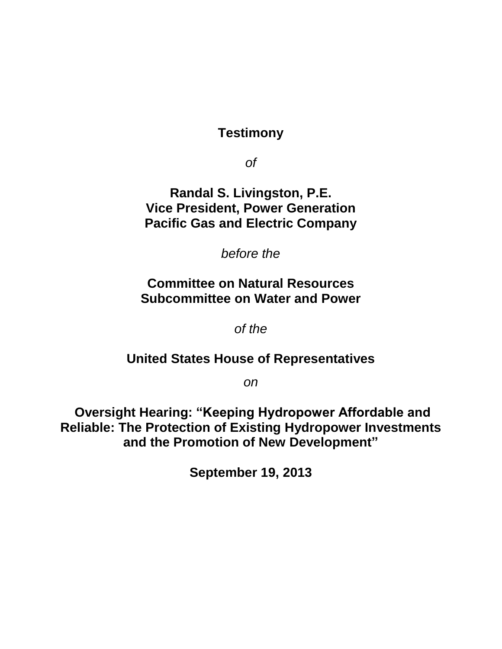**Testimony**

*of*

**Randal S. Livingston, P.E. Vice President, Power Generation Pacific Gas and Electric Company**

*before the*

## **Committee on Natural Resources Subcommittee on Water and Power**

*of the*

## **United States House of Representatives**

*on*

**Oversight Hearing: "Keeping Hydropower Affordable and Reliable: The Protection of Existing Hydropower Investments and the Promotion of New Development"**

**September 19, 2013**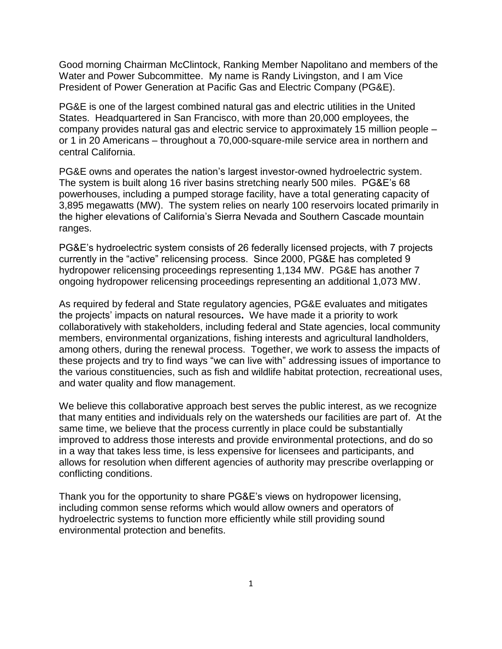Good morning Chairman McClintock, Ranking Member Napolitano and members of the Water and Power Subcommittee. My name is Randy Livingston, and I am Vice President of Power Generation at Pacific Gas and Electric Company (PG&E).

PG&E is one of the largest combined natural gas and electric utilities in the United States. Headquartered in San Francisco, with more than 20,000 employees, the company provides natural gas and electric service to approximately 15 million people – or 1 in 20 Americans – throughout a 70,000-square-mile service area in northern and central California.

PG&E owns and operates the nation's largest investor-owned hydroelectric system. The system is built along 16 river basins stretching nearly 500 miles. PG&E's 68 powerhouses, including a pumped storage facility, have a total generating capacity of 3,895 megawatts (MW). The system relies on nearly 100 reservoirs located primarily in the higher elevations of California's Sierra Nevada and Southern Cascade mountain ranges.

PG&E's hydroelectric system consists of 26 federally licensed projects, with 7 projects currently in the "active" relicensing process. Since 2000, PG&E has completed 9 hydropower relicensing proceedings representing 1,134 MW. PG&E has another 7 ongoing hydropower relicensing proceedings representing an additional 1,073 MW.

As required by federal and State regulatory agencies, PG&E evaluates and mitigates the projects' impacts on natural resources**.** We have made it a priority to work collaboratively with stakeholders, including federal and State agencies, local community members, environmental organizations, fishing interests and agricultural landholders, among others, during the renewal process. Together, we work to assess the impacts of these projects and try to find ways "we can live with" addressing issues of importance to the various constituencies, such as fish and wildlife habitat protection, recreational uses, and water quality and flow management.

We believe this collaborative approach best serves the public interest, as we recognize that many entities and individuals rely on the watersheds our facilities are part of. At the same time, we believe that the process currently in place could be substantially improved to address those interests and provide environmental protections, and do so in a way that takes less time, is less expensive for licensees and participants, and allows for resolution when different agencies of authority may prescribe overlapping or conflicting conditions.

Thank you for the opportunity to share PG&E's views on hydropower licensing, including common sense reforms which would allow owners and operators of hydroelectric systems to function more efficiently while still providing sound environmental protection and benefits.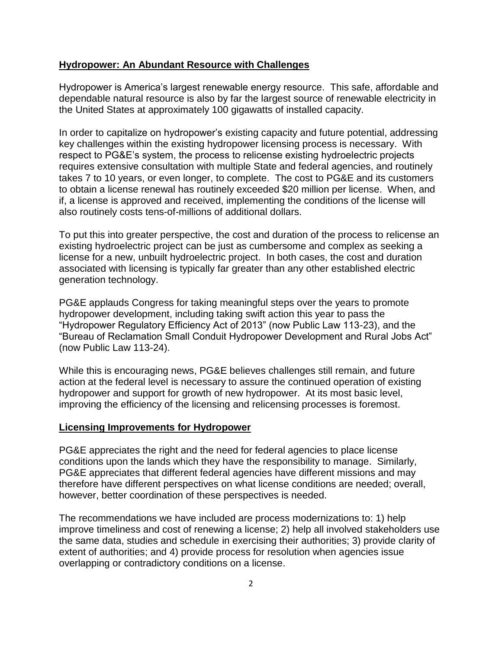## **Hydropower: An Abundant Resource with Challenges**

Hydropower is America's largest renewable energy resource. This safe, affordable and dependable natural resource is also by far the largest source of renewable electricity in the United States at approximately 100 gigawatts of installed capacity.

In order to capitalize on hydropower's existing capacity and future potential, addressing key challenges within the existing hydropower licensing process is necessary. With respect to PG&E's system, the process to relicense existing hydroelectric projects requires extensive consultation with multiple State and federal agencies, and routinely takes 7 to 10 years, or even longer, to complete. The cost to PG&E and its customers to obtain a license renewal has routinely exceeded \$20 million per license. When, and if, a license is approved and received, implementing the conditions of the license will also routinely costs tens-of-millions of additional dollars.

To put this into greater perspective, the cost and duration of the process to relicense an existing hydroelectric project can be just as cumbersome and complex as seeking a license for a new, unbuilt hydroelectric project. In both cases, the cost and duration associated with licensing is typically far greater than any other established electric generation technology.

PG&E applauds Congress for taking meaningful steps over the years to promote hydropower development, including taking swift action this year to pass the "Hydropower Regulatory Efficiency Act of 2013" (now Public Law 113-23), and the "Bureau of Reclamation Small Conduit Hydropower Development and Rural Jobs Act" (now Public Law 113-24).

While this is encouraging news, PG&E believes challenges still remain, and future action at the federal level is necessary to assure the continued operation of existing hydropower and support for growth of new hydropower. At its most basic level, improving the efficiency of the licensing and relicensing processes is foremost.

## **Licensing Improvements for Hydropower**

PG&E appreciates the right and the need for federal agencies to place license conditions upon the lands which they have the responsibility to manage. Similarly, PG&E appreciates that different federal agencies have different missions and may therefore have different perspectives on what license conditions are needed; overall, however, better coordination of these perspectives is needed.

The recommendations we have included are process modernizations to: 1) help improve timeliness and cost of renewing a license; 2) help all involved stakeholders use the same data, studies and schedule in exercising their authorities; 3) provide clarity of extent of authorities; and 4) provide process for resolution when agencies issue overlapping or contradictory conditions on a license.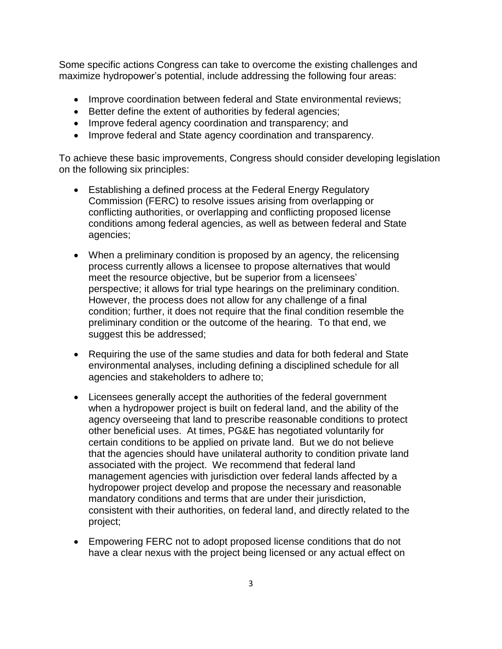Some specific actions Congress can take to overcome the existing challenges and maximize hydropower's potential, include addressing the following four areas:

- Improve coordination between federal and State environmental reviews;
- Better define the extent of authorities by federal agencies;
- Improve federal agency coordination and transparency; and
- Improve federal and State agency coordination and transparency.

To achieve these basic improvements, Congress should consider developing legislation on the following six principles:

- Establishing a defined process at the Federal Energy Regulatory Commission (FERC) to resolve issues arising from overlapping or conflicting authorities, or overlapping and conflicting proposed license conditions among federal agencies, as well as between federal and State agencies;
- When a preliminary condition is proposed by an agency, the relicensing process currently allows a licensee to propose alternatives that would meet the resource objective, but be superior from a licensees' perspective; it allows for trial type hearings on the preliminary condition. However, the process does not allow for any challenge of a final condition; further, it does not require that the final condition resemble the preliminary condition or the outcome of the hearing. To that end, we suggest this be addressed;
- Requiring the use of the same studies and data for both federal and State environmental analyses, including defining a disciplined schedule for all agencies and stakeholders to adhere to;
- Licensees generally accept the authorities of the federal government when a hydropower project is built on federal land, and the ability of the agency overseeing that land to prescribe reasonable conditions to protect other beneficial uses. At times, PG&E has negotiated voluntarily for certain conditions to be applied on private land. But we do not believe that the agencies should have unilateral authority to condition private land associated with the project. We recommend that federal land management agencies with jurisdiction over federal lands affected by a hydropower project develop and propose the necessary and reasonable mandatory conditions and terms that are under their jurisdiction, consistent with their authorities, on federal land, and directly related to the project;
- Empowering FERC not to adopt proposed license conditions that do not have a clear nexus with the project being licensed or any actual effect on